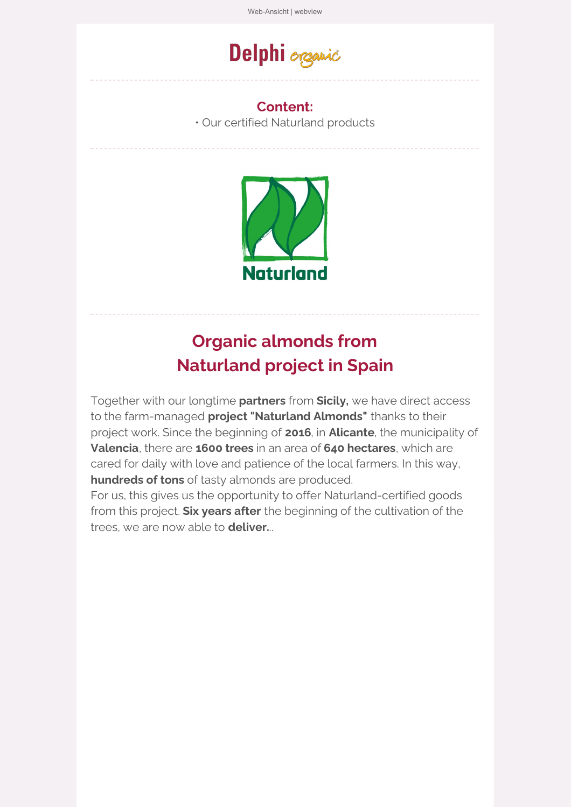# Delphi organic

#### **Content:**

• Our certified Naturland products



## **Organic almonds from Naturland project in Spain**

Together with our longtime **partners** from **Sicily,** we have direct access to the farm-managed **project "Naturland Almonds"** thanks to their project work. Since the beginning of **2016**, in **Alicante**, the municipality of **Valencia**, there are **1600 trees** in an area of **640 hectares**, which are cared for daily with love and patience of the local farmers. In this way, **hundreds of tons** of tasty almonds are produced.

For us, this gives us the opportunity to offer Naturland-certified goods from this project. **Six years after** the beginning of the cultivation of the trees, we are now able to **deliver.**..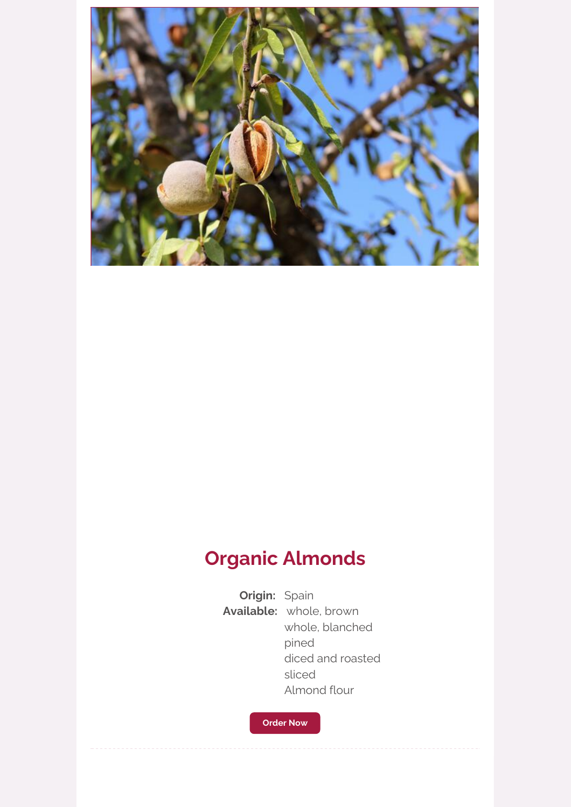

# **Organic [Almonds](https://ta37b2676.emailsys1a.net/c/36/5450113/0/0/0/330065/1acfd8775e.html)**

**Origin:** Spain **Available:** [whole,](https://ta37b2676.emailsys1a.net/c/36/5450113/0/0/0/330081/f40eff60e0.html) brown whole, [blanched](https://ta37b2676.emailsys1a.net/c/36/5450113/0/0/0/330083/7d2006f38c.html) [pined](https://ta37b2676.emailsys1a.net/c/36/5450113/0/0/0/330085/201b3a3280.html) diced and [roasted](https://ta37b2676.emailsys1a.net/c/36/5450113/0/0/0/330087/0d2dd53763.html) [sliced](https://ta37b2676.emailsys1a.net/c/36/5450113/0/0/0/330089/5ee607e1e0.html) [Almond](https://ta37b2676.emailsys1a.net/c/36/5450113/0/0/0/330091/3eac4d7dae.html) flour

**[Order](https://ta37b2676.emailsys1a.net/c/36/5450113/0/0/0/330065/1acfd8775e.html) Now**